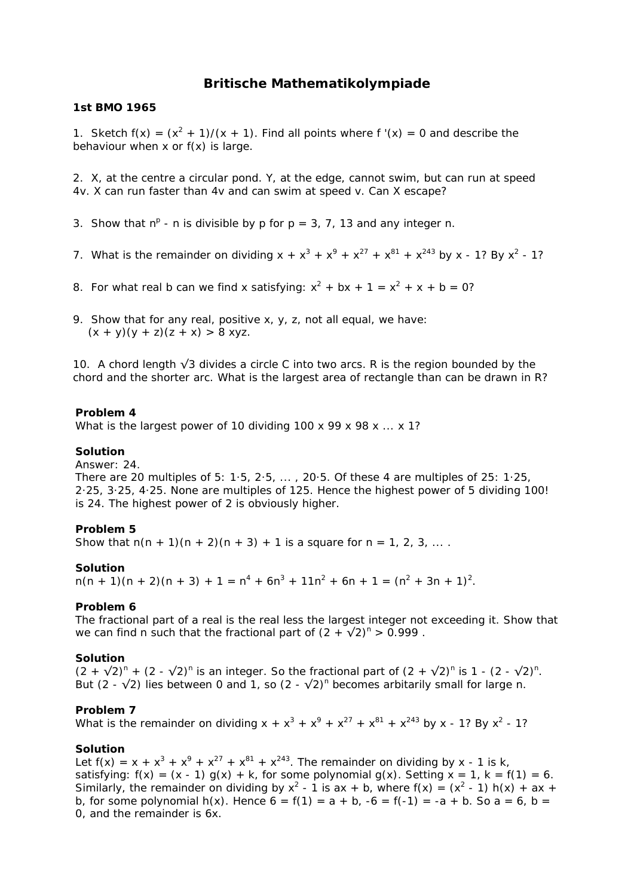# **Britische Mathematikolympiade**

### **1st BMO 1965**

1. Sketch  $f(x) = (x^2 + 1)/(x + 1)$ . Find all points where  $f'(x) = 0$  and describe the behaviour when  $x$  or  $f(x)$  is large.

2. X, at the centre a circular pond. Y, at the edge, cannot swim, but can run at speed 4v. X can run faster than 4v and can swim at speed v. Can X escape?

- 3. Show that  $n^p$  n is divisible by p for  $p = 3, 7, 13$  and any integer n.
- 7. What is the remainder on dividing  $x + x^3 + x^9 + x^{27} + x^{81} + x^{243}$  by x 1? By x<sup>2</sup> 1?
- 8. For what real b can we find x satisfying:  $x^2 + bx + 1 = x^2 + x + b = 0$ ?
- 9. Show that for any real, positive x, y, z, not all equal, we have:  $(x + y)(y + z)(z + x) > 8$  xyz.

10. A chord length  $\sqrt{3}$  divides a circle C into two arcs. R is the region bounded by the chord and the shorter arc. What is the largest area of rectangle than can be drawn in R?

### **Problem 4**

What is the largest power of 10 dividing 100 x 99 x 98 x  $\ldots$  x 1?

### **Solution**

Answer: 24.

There are 20 multiples of 5: 1·5, 2·5, ... , 20·5. Of these 4 are multiples of 25: 1·25, 2·25, 3·25, 4·25. None are multiples of 125. Hence the highest power of 5 dividing 100! is 24. The highest power of 2 is obviously higher.

### **Problem 5**

Show that  $n(n + 1)(n + 2)(n + 3) + 1$  is a square for  $n = 1, 2, 3, ...$ 

### **Solution**

 $n(n + 1)(n + 2)(n + 3) + 1 = n<sup>4</sup> + 6n<sup>3</sup> + 11n<sup>2</sup> + 6n + 1 = (n<sup>2</sup> + 3n + 1)<sup>2</sup>.$ 

### **Problem 6**

The fractional part of a real is the real less the largest integer not exceeding it. Show that we can find n such that the fractional part of  $(2 + \sqrt{2})^n > 0.999$ .

### **Solution**

 $(2 + \sqrt{2})^n + (2 - \sqrt{2})^n$  is an integer. So the fractional part of  $(2 + \sqrt{2})^n$  is 1 -  $(2 - \sqrt{2})^n$ . But (2 -  $\sqrt{2}$ ) lies between 0 and 1, so (2 -  $\sqrt{2}$ )<sup>n</sup> becomes arbitarily small for large n.

### **Problem 7**

What is the remainder on dividing  $x + x^3 + x^9 + x^{27} + x^{81} + x^{243}$  by x - 1? By x<sup>2</sup> - 1?

### **Solution**

Let  $f(x) = x + x^3 + x^9 + x^{27} + x^{81} + x^{243}$ . The remainder on dividing by x - 1 is k, satisfying:  $f(x) = (x - 1) g(x) + k$ , for some polynomial  $g(x)$ . Setting  $x = 1$ ,  $k = f(1) = 6$ . Similarly, the remainder on dividing by  $x^2 - 1$  is ax + b, where  $f(x) = (x^2 - 1) h(x) + ax +$ b, for some polynomial  $h(x)$ . Hence  $6 = f(1) = a + b$ ,  $-6 = f(-1) = -a + b$ . So  $a = b$ ,  $b =$ 0, and the remainder is 6x.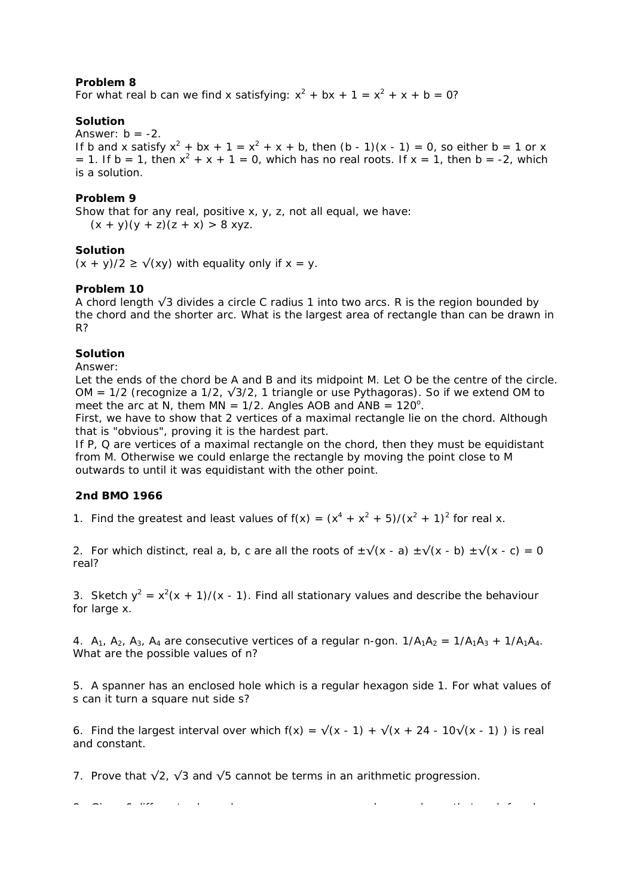For what real b can we find x satisfying:  $x^2 + bx + 1 = x^2 + x + b = 0$ ?

# **Solution**

Answer:  $b = -2$ .

If b and x satisfy  $x^2 + bx + 1 = x^2 + x + b$ , then  $(b - 1)(x - 1) = 0$ , so either b = 1 or x = 1. If b = 1, then  $x^2 + x + 1 = 0$ , which has no real roots. If  $x = 1$ , then b = -2, which is a solution.

# **Problem 9**

Show that for any real, positive  $x_i$ ,  $y_i$ ,  $z_i$ , not all equal, we have:  $(x + y)(y + z)(z + x) > 8$  xyz.

# **Solution**

 $(x + y)/2 \ge \sqrt{xy}$  with equality only if  $x = y$ .

# **Problem 10**

A chord length √3 divides a circle C radius 1 into two arcs. R is the region bounded by the chord and the shorter arc. What is the largest area of rectangle than can be drawn in R?

## **Solution**

Answer:

Let the ends of the chord be A and B and its midpoint M. Let O be the centre of the circle. OM = 1/2 (recognize a 1/2,  $\sqrt{3}/2$ , 1 triangle or use Pythagoras). So if we extend OM to meet the arc at N, them  $MN = 1/2$ . Angles AOB and  $AND = 120^\circ$ .

First, we have to show that 2 vertices of a maximal rectangle lie on the chord. Although that is "obvious", proving it is the hardest part.

If P, Q are vertices of a maximal rectangle on the chord, then they must be equidistant from M. Otherwise we could enlarge the rectangle by moving the point close to M outwards to until it was equidistant with the other point.

# **2nd BMO 1966**

1. Find the greatest and least values of  $f(x) = (x^4 + x^2 + 5)/(x^2 + 1)^2$  for real x.

2. For which distinct, real a, b, c are all the roots of  $\pm\sqrt{(x - a)} \pm\sqrt{(x - b)} \pm\sqrt{(x - c)} = 0$ real?

3. Sketch  $y^2 = x^2(x + 1)/(x - 1)$ . Find all stationary values and describe the behaviour for large x.

4.  $A_1$ ,  $A_2$ ,  $A_3$ ,  $A_4$  are consecutive vertices of a regular n-gon.  $1/A_1A_2 = 1/A_1A_3 + 1/A_1A_4$ . What are the possible values of n?

5. A spanner has an enclosed hole which is a regular hexagon side 1. For what values of s can it turn a square nut side s?

6. Find the largest interval over which  $f(x) = \sqrt{x^2 + 1} + \sqrt{x^2 + 24 - 10}$  (x - 1) is real and constant.

7. Prove that √2, √3 and √5 cannot be terms in an arithmetic progression.

8 Gi 6 diff t l h l b th t h f h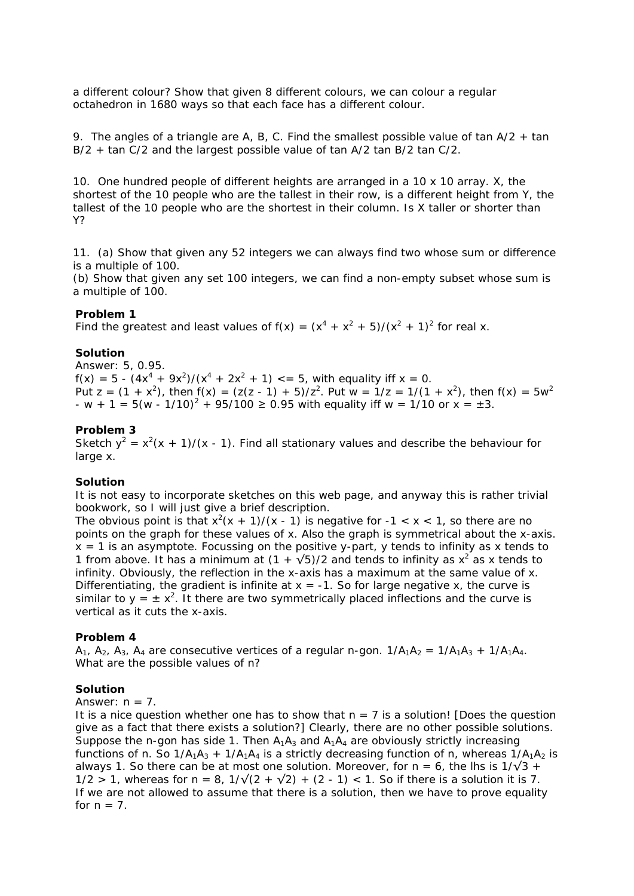a different colour? Show that given 8 different colours, we can colour a regular octahedron in 1680 ways so that each face has a different colour.

9. The angles of a triangle are A, B, C, Find the smallest possible value of tan  $A/2 + \tan A$ B/2 + tan C/2 and the largest possible value of tan A/2 tan B/2 tan C/2.

10. One hundred people of different heights are arranged in a 10 x 10 array. X, the shortest of the 10 people who are the tallest in their row, is a different height from Y, the tallest of the 10 people who are the shortest in their column. Is X taller or shorter than Y?

11. (a) Show that given any 52 integers we can always find two whose sum or difference is a multiple of 100.

(b) Show that given any set 100 integers, we can find a non-empty subset whose sum is a multiple of 100.

#### **Problem 1**

Find the greatest and least values of  $f(x) = (x^4 + x^2 + 5)/(x^2 + 1)^2$  for real x.

#### **Solution**

Answer: 5, 0.95.  $f(x) = 5 - (4x^4 + 9x^2)/(x^4 + 2x^2 + 1) \le 5$ , with equality iff  $x = 0$ . Put z =  $(1 + x^2)$ , then  $f(x) = (z(z - 1) + 5)/z^2$ . Put w =  $1/z = 1/(1 + x^2)$ , then  $f(x) = 5w^2$  $-w + 1 = 5(w - 1/10)^2 + 95/100 \ge 0.95$  with equality iff w = 1/10 or x =  $\pm 3$ .

#### **Problem 3**

Sketch  $y^2 = x^2(x + 1)/(x - 1)$ . Find all stationary values and describe the behaviour for large x.

#### **Solution**

It is not easy to incorporate sketches on this web page, and anyway this is rather trivial bookwork, so I will just give a brief description.

The obvious point is that  $x^2(x + 1)/(x - 1)$  is negative for  $-1 < x < 1$ , so there are no points on the graph for these values of x. Also the graph is symmetrical about the x-axis.  $x = 1$  is an asymptote. Focussing on the positive y-part, y tends to infinity as x tends to 1 from above. It has a minimum at  $(1 + \sqrt{5})/2$  and tends to infinity as  $x^2$  as x tends to infinity. Obviously, the reflection in the x-axis has a maximum at the same value of x. Differentiating, the gradient is infinite at  $x = -1$ . So for large negative x, the curve is similar to  $y = \pm x^2$ . It there are two symmetrically placed inflections and the curve is vertical as it cuts the x-axis.

#### **Problem 4**

 $A_1$ ,  $A_2$ ,  $A_3$ ,  $A_4$  are consecutive vertices of a regular n-gon.  $1/A_1A_2 = 1/A_1A_3 + 1/A_1A_4$ . What are the possible values of n?

#### **Solution**

Answer:  $n = 7$ .

It is a nice question whether one has to show that  $n = 7$  *is* a solution! [Does the question give as a fact that there *exists* a solution?] Clearly, there are no other possible solutions. Suppose the n-gon has side 1. Then  $A_1A_3$  and  $A_1A_4$  are obviously strictly increasing functions of n. So  $1/A_1A_3 + 1/A_1A_4$  is a strictly decreasing function of n, whereas  $1/A_1A_2$  is always 1. So there can be at most one solution. Moreover, for  $n = 6$ , the lhs is  $1/\sqrt{3}$  +  $1/2 > 1$ , whereas for n = 8,  $1/\sqrt{(2 + \sqrt{2}) + (2 - 1)} < 1$ . So if there is a solution it is 7. If we are not allowed to assume that there is a solution, then we have to prove equality for  $n = 7$ .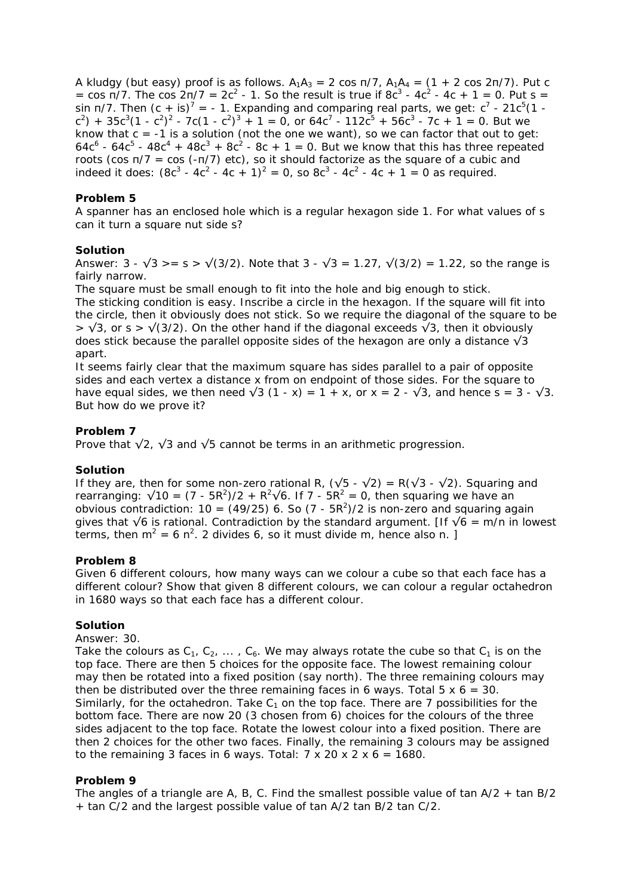A kludgy (but easy) proof is as follows.  $A_1A_3 = 2 \cos \frac{\pi}{7}$ ,  $A_1A_4 = (1 + 2 \cos \frac{2\pi}{7})$ . Put c = cos  $\pi/7$ . The cos  $2\pi/7 = 2c^2 - 1$ . So the result is true if  $8c^3 - 4c^2 - 4c + 1 = 0$ . Put s = sin  $\pi/7$ . Then  $(c + is)^7 = -1$ . Expanding and comparing real parts, we get:  $c^7 - 21c^5(1 (c^2)$  + 35 $c^3(1 - c^2)^2$  - 7c $(1 - c^2)^3$  + 1 = 0, or 64 $c^7$  - 112 $c^5$  + 56 $c^3$  - 7c + 1 = 0. But we know that  $c = -1$  is a solution (not the one we want), so we can factor that out to get:  $64c^6$  -  $64c^5$  -  $48c^4$  +  $48c^3$  +  $8c^2$  -  $8c$  + 1 = 0. But we know that this has three repeated roots (cos π/7 = cos (-π/7) etc), so it should factorize as the square of a cubic and indeed it does:  $(8c^3 - 4c^2 - 4c + 1)^2 = 0$ , so  $8c^3 - 4c^2 - 4c + 1 = 0$  as required.

# **Problem 5**

A spanner has an enclosed hole which is a regular hexagon side 1. For what values of s can it turn a square nut side s?

## **Solution**

Answer:  $3 - \sqrt{3} > = s > \sqrt{3/2}$ . Note that  $3 - \sqrt{3} = 1.27$ ,  $\sqrt{3/2} = 1.22$ , so the range is fairly narrow.

The square must be small enough to fit into the hole and big enough to stick. The sticking condition is easy. Inscribe a circle in the hexagon. If the square will fit into the circle, then it obviously does not stick. So we require the diagonal of the square to be  $> \sqrt{3}$ , or s  $> \sqrt{3}$ . On the other hand if the diagonal exceeds  $\sqrt{3}$ , then it obviously does stick because the parallel opposite sides of the hexagon are only a distance  $\sqrt{3}$ apart.

It seems fairly clear that the maximum square has sides parallel to a pair of opposite sides and each vertex a distance x from on endpoint of those sides. For the square to have equal sides, we then need  $\sqrt{3}$  (1 - x) = 1 + x, or x = 2 -  $\sqrt{3}$ , and hence s = 3 -  $\sqrt{3}$ . But how do we prove it?

## **Problem 7**

Prove that  $\sqrt{2}$ ,  $\sqrt{3}$  and  $\sqrt{5}$  cannot be terms in an arithmetic progression.

## **Solution**

If they are, then for some non-zero rational R,  $(\sqrt{5} - \sqrt{2}) = R(\sqrt{3} - \sqrt{2})$ . Squaring and rearranging:  $\sqrt{10} = (7 - 5R^2)/2 + R^2\sqrt{6}$ . If 7 -  $5R^2 = 0$ , then squaring we have an obvious contradiction:  $10 = (49/25)$  6. So  $(7 - 5R^2)/2$  is non-zero and squaring again gives that  $√6$  is rational. Contradiction by the standard argument. [If  $√6 = m/n$  in lowest terms, then  $m^2 = 6$  n<sup>2</sup>. 2 divides 6, so it must divide m, hence also n. ]

## **Problem 8**

Given 6 different colours, how many ways can we colour a cube so that each face has a different colour? Show that given 8 different colours, we can colour a regular octahedron in 1680 ways so that each face has a different colour.

# **Solution**

Answer: 30.

Take the colours as  $C_1$ ,  $C_2$ , ...,  $C_6$ . We may always rotate the cube so that  $C_1$  is on the top face. There are then 5 choices for the opposite face. The lowest remaining colour may then be rotated into a fixed position (say north). The three remaining colours may then be distributed over the three remaining faces in 6 ways. Total  $5 \times 6 = 30$ . Similarly, for the octahedron. Take  $C_1$  on the top face. There are 7 possibilities for the bottom face. There are now 20 (3 chosen from 6) choices for the colours of the three sides adjacent to the top face. Rotate the lowest colour into a fixed position. There are then 2 choices for the other two faces. Finally, the remaining 3 colours may be assigned to the remaining 3 faces in 6 ways. Total:  $7 \times 20 \times 2 \times 6 = 1680$ .

### **Problem 9**

The angles of a triangle are A, B, C. Find the smallest possible value of tan  $A/2$  + tan B/2 + tan C/2 and the largest possible value of tan A/2 tan B/2 tan C/2.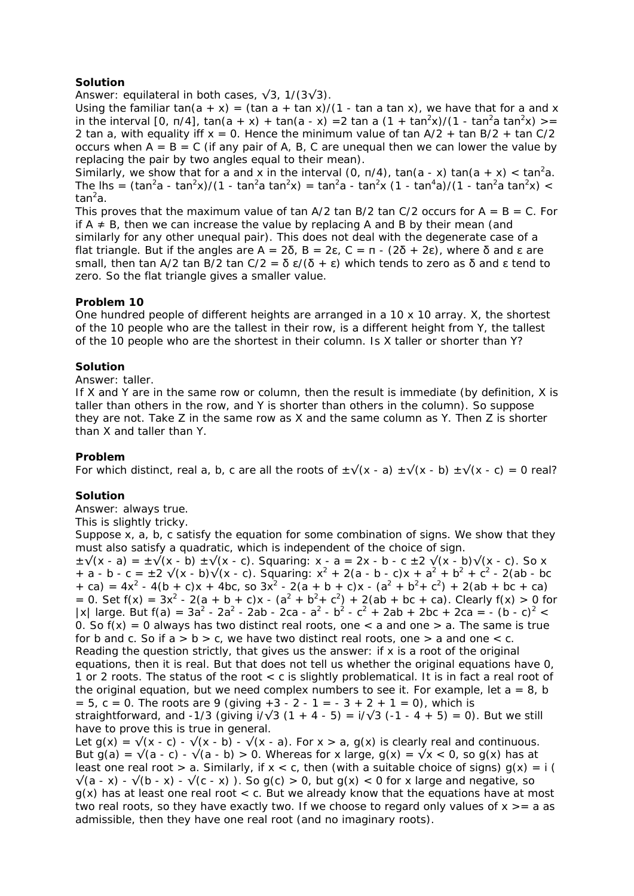# **Solution**

Answer: equilateral in both cases,  $\sqrt{3}$ , 1/(3 $\sqrt{3}$ ).

Using the familiar tan(a + x) = (tan a + tan x)/(1 - tan a tan x), we have that for a and x in the interval [0,  $\pi/4$ ],  $\tan(a + x) + \tan(a - x) = 2 \tan a (1 + \tan^2 x)/(1 - \tan^2 a \tan^2 x)$  > = 2 tan a, with equality iff  $x = 0$ . Hence the minimum value of tan  $A/2$  + tan B/2 + tan C/2 occurs when  $A = B = C$  (if any pair of A, B, C are unequal then we can lower the value by replacing the pair by two angles equal to their mean).

Similarly, we show that for a and x in the interval (0,  $\pi/4$ ), tan(a - x) tan(a + x) < tan<sup>2</sup>a. The lhs = (tan<sup>2</sup>a - tan<sup>2</sup>x)/(1 - tan<sup>2</sup>a tan<sup>2</sup>x) = tan<sup>2</sup>a - tan<sup>2</sup>x (1 - tan<sup>4</sup>a)/(1 - tan<sup>2</sup>a tan<sup>2</sup>x) < tan<sup>2</sup>a.

This proves that the maximum value of tan A/2 tan B/2 tan C/2 occurs for  $A = B = C$ . For if  $A \neq B$ , then we can increase the value by replacing A and B by their mean (and similarly for any other unequal pair). This does not deal with the degenerate case of a flat triangle. But if the angles are  $A = 2\delta$ ,  $B = 2\epsilon$ ,  $C = \pi$  -  $(2\delta + 2\epsilon)$ , where  $\delta$  and ε are small, then tan A/2 tan B/2 tan C/2 =  $\delta \epsilon/(\delta + \epsilon)$  which tends to zero as  $\delta$  and ε tend to zero. So the flat triangle gives a smaller value.

### **Problem 10**

One hundred people of different heights are arranged in a 10 x 10 array. X, the shortest of the 10 people who are the tallest in their row, is a different height from Y, the tallest of the 10 people who are the shortest in their column. Is X taller or shorter than Y?

### **Solution**

Answer: taller.

If X and Y are in the same row or column, then the result is immediate (by definition, X is taller than others in the row, and Y is shorter than others in the column). So suppose they are not. Take Z in the same row as X and the same column as Y. Then Z is shorter than X and taller than Y.

## **Problem**

For which distinct, real a, b, c are all the roots of  $\pm\sqrt{(x - a)} \pm\sqrt{(x - b)} \pm\sqrt{(x - c)} = 0$  real?

## **Solution**

Answer: always true.

This is slightly tricky.

Suppose x, a, b, c satisfy the equation for some combination of signs. We show that they must also satisfy a quadratic, which is independent of the choice of sign.

 $\pm\sqrt{(x-a)} = \pm\sqrt{(x-b)} \pm\sqrt{(x-c)}$ . Squaring: x - a = 2x - b - c  $\pm 2\sqrt{(x-b)}\sqrt{(x-c)}$ . So x + a - b - c =  $\pm 2 \sqrt{(x - b)\sqrt{(x - c)}}$ . Squaring:  $x^2 + 2(a - b - c)x + a^2 + b^2 + c^2 - 2(ab - bc)$  $+ ca$ ) = 4x<sup>2</sup> - 4(b + c)x + 4bc, so 3x<sup>2</sup> - 2(a + b + c)x - (a<sup>2</sup> + b<sup>2</sup> + c<sup>2</sup>) + 2(ab + bc + ca) = 0. Set  $f(x) = 3x^2 - 2(a + b + c)x - (a^2 + b^2 + c^2) + 2(ab + bc + ca)$ . Clearly  $f(x) > 0$  for |x| large. But  $f(a) = 3a^2 - 2a^2 - 2ab - 2ca - a^2 - b^2 - c^2 + 2ab + 2bc + 2ca = -(b - c)^2 <$ 0. So  $f(x) = 0$  always has two distinct real roots, one  $\lt$  a and one  $\gt$  a. The same is true for b and c. So if  $a > b > c$ , we have two distinct real roots, one  $> a$  and one  $< c$ . Reading the question strictly, that gives us the answer: if x is a root of the original equations, then it is real. But that does not tell us whether the original equations have 0, 1 or 2 roots. The status of the root < c is slightly problematical. It is in fact a real root of the original equation, but we need complex numbers to see it. For example, let  $a = 8$ , b  $= 5$ , c = 0. The roots are 9 (giving  $+3 - 2 - 1 = -3 + 2 + 1 = 0$ ), which is straightforward, and -1/3 (giving  $i/\sqrt{3}$  (1 + 4 - 5) =  $i/\sqrt{3}$  (-1 - 4 + 5) = 0). But we still have to prove this is true in general. Let  $g(x) = \sqrt{x - c} - \sqrt{x - b} - \sqrt{x - a}$ . For  $x > a$ ,  $g(x)$  is clearly real and continuous.

But g(a) =  $\sqrt{(a - c)} - \sqrt{(a - b)} > 0$ . Whereas for x large, g(x) =  $\sqrt{x}$  < 0, so g(x) has at least one real root  $> a$ . Similarly, if  $x < c$ , then (with a suitable choice of signs)  $q(x) = i$  (  $\sqrt{(a - x)} - \sqrt{(b - x)} - \sqrt{(c - x)}$ . So g(c) > 0, but g(x) < 0 for x large and negative, so  $g(x)$  has at least one real root  $\langle c \rangle$ . But we already know that the equations have at most two real roots, so they have exactly two. If we choose to regard only values of  $x \ge -a$  as admissible, then they have one real root (and no imaginary roots).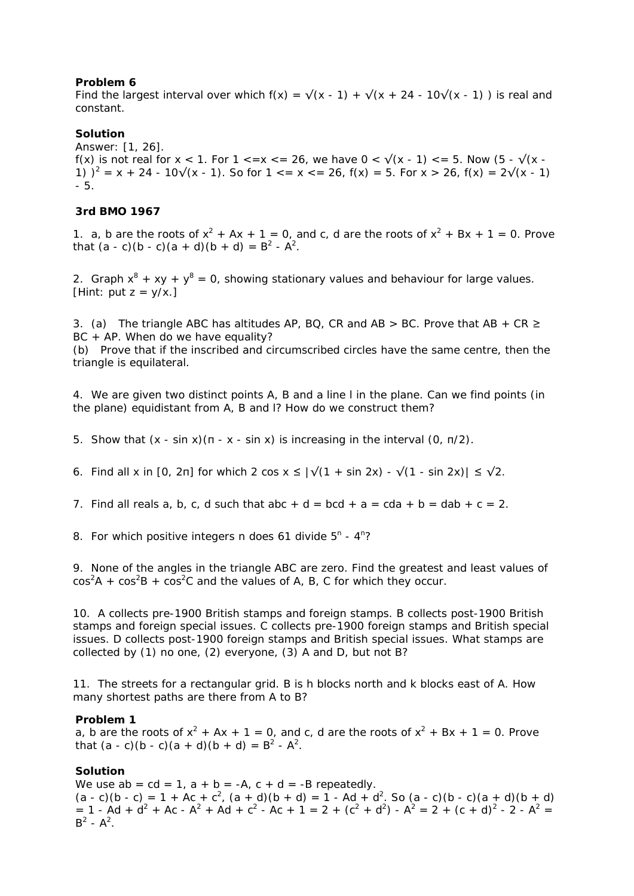Find the largest interval over which  $f(x) = \sqrt{(x - 1)} + \sqrt{(x + 24 - 10\sqrt{(x - 1)}})$  is real and constant.

### **Solution**

Answer: [1, 26]. f(x) is not real for  $x < 1$ . For  $1 \le x \le 26$ , we have  $0 \le \sqrt{x-1} \le 5$ . Now  $(5 - \sqrt{x-1})$ 1)  $)^2 = x + 24 - 10\sqrt{x - 1}$ . So for  $1 \le x \le 26$ ,  $f(x) = 5$ . For  $x > 26$ ,  $f(x) = 2\sqrt{x - 1}$ - 5.

### **3rd BMO 1967**

1. a, b are the roots of  $x^2 + Ax + 1 = 0$ , and c, d are the roots of  $x^2 + Bx + 1 = 0$ . Prove that  $(a - c)(b - c)(a + d)(b + d) = B<sup>2</sup> - A<sup>2</sup>$ .

2. Graph  $x^8 + xy + y^8 = 0$ , showing stationary values and behaviour for large values. [Hint: put  $z = y/x.$ ]

3. (a) The triangle ABC has altitudes AP, BQ, CR and AB > BC. Prove that AB + CR  $\geq$ BC + AP. When do we have equality?

(b) Prove that if the inscribed and circumscribed circles have the same centre, then the triangle is equilateral.

4. We are given two distinct points A, B and a line l in the plane. Can we find points (in the plane) equidistant from A, B and l? How do we construct them?

5. Show that (x - sin x)(π - x - sin x) is increasing in the interval (0, π/2).

6. Find all x in [0, 2π] for which 2 cos  $x \le |\sqrt{(1 + \sin 2x)} - \sqrt{(1 - \sin 2x)}| \le \sqrt{2}$ .

7. Find all reals a, b, c, d such that abc  $+ d = bcd + a = cda + b = dab + c = 2$ .

8. For which positive integers n does 61 divide  $5^n - 4^n$ ?

9. None of the angles in the triangle ABC are zero. Find the greatest and least values of  $\cos^2 A + \cos^2 B + \cos^2 C$  and the values of A, B, C for which they occur.

10. A collects pre-1900 British stamps and foreign stamps. B collects post-1900 British stamps and foreign special issues. C collects pre-1900 foreign stamps and British special issues. D collects post-1900 foreign stamps and British special issues. What stamps are collected by (1) no one, (2) everyone, (3) A and D, but not B?

11. The streets for a rectangular grid. B is h blocks north and k blocks east of A. How many shortest paths are there from A to B?

### **Problem 1**

a, b are the roots of  $x^2 + Ax + 1 = 0$ , and c, d are the roots of  $x^2 + Bx + 1 = 0$ . Prove that  $(a - c)(b - c)(a + d)(b + d) = B<sup>2</sup> - A<sup>2</sup>$ .

### **Solution**

We use  $ab = cd = 1$ ,  $a + b = -A$ ,  $c + d = -B$  repeatedly.  $(a - c)(b - c) = 1 + Ac + c^2$ ,  $(a + d)(b + d) = 1 - Ad + d^2$ . So  $(a - c)(b - c)(a + d)(b + d)$  $= 1 - Ad + d^2 + Ac - A^2 + Ad + c^2 - Ac + 1 = 2 + (c^2 + d^2) - A^2 = 2 + (c + d)^2 - 2 - A^2 =$  $B^2 - A^2$ .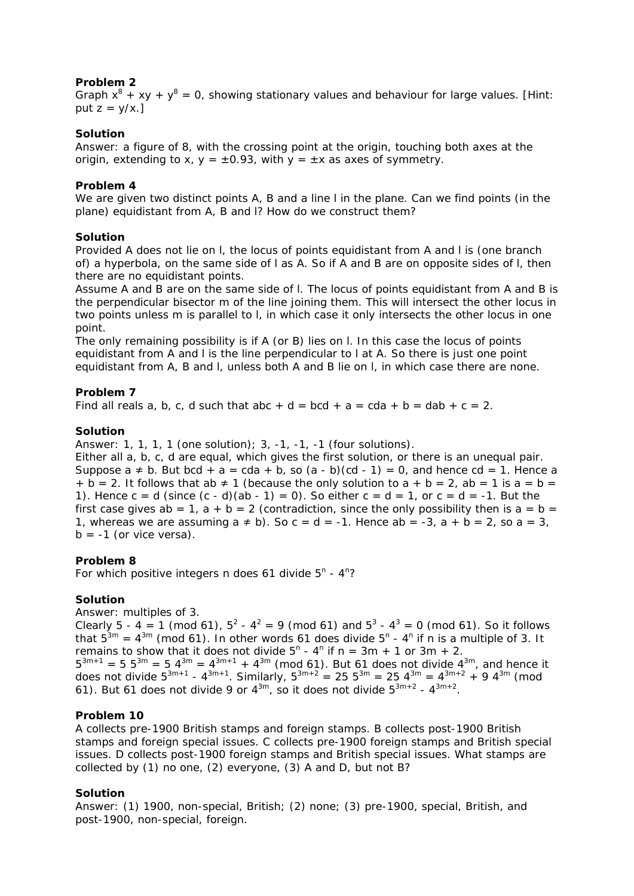Graph  $x^8 + xy + y^8 = 0$ , showing stationary values and behaviour for large values. [Hint: put  $z = v/x.$ ]

# **Solution**

Answer: a figure of 8, with the crossing point at the origin, touching both axes at the origin, extending to x,  $y = \pm 0.93$ , with  $y = \pm x$  as axes of symmetry.

# **Problem 4**

We are given two distinct points A, B and a line *l* in the plane. Can we find points (in the plane) equidistant from A, B and *l*? How do we construct them?

## **Solution**

Provided A does not lie on *l*, the locus of points equidistant from A and *l* is (one branch of) a hyperbola, on the same side of *l* as A. So if A and B are on opposite sides of *l*, then there are no equidistant points.

Assume A and B are on the same side of *l*. The locus of points equidistant from A and B is the perpendicular bisector *m* of the line joining them. This will intersect the other locus in two points unless *m* is parallel to *l*, in which case it only intersects the other locus in one point.

The only remaining possibility is if A (or B) lies on *l*. In this case the locus of points equidistant from A and *l* is the line perpendicular to *l* at A. So there is just one point equidistant from A, B and *l*, unless both A and B lie on *l*, in which case there are none.

## **Problem 7**

Find all reals a, b, c, d such that abc + d = bcd + a = cda + b = dab + c = 2.

## **Solution**

Answer: 1, 1, 1, 1 (one solution); 3, -1, -1, -1 (four solutions).

Either all a, b, c, d are equal, which gives the first solution, or there is an unequal pair. Suppose  $a \neq b$ . But bcd + a = cda + b, so (a - b)(cd - 1) = 0, and hence cd = 1. Hence a  $+ b = 2$ . It follows that ab  $\neq 1$  (because the only solution to  $a + b = 2$ , ab = 1 is  $a = b = 1$ 1). Hence  $c = d$  (since  $(c - d)(ab - 1) = 0$ ). So either  $c = d = 1$ , or  $c = d = -1$ . But the first case gives ab = 1,  $a + b = 2$  (contradiction, since the only possibility then is  $a = b =$ 1, whereas we are assuming  $a \ne b$ ). So  $c = d = -1$ . Hence  $ab = -3$ ,  $a + b = 2$ , so  $a = 3$ ,  $b = -1$  (or vice versa).

## **Problem 8**

For which positive integers n does 61 divide  $5^n - 4^n$ ?

# **Solution**

Answer: multiples of 3.

Clearly 5 - 4 = 1 (mod 61),  $5^2$  -  $4^2$  = 9 (mod 61) and  $5^3$  -  $4^3$  = 0 (mod 61). So it follows that  $5^{3m} = 4^{3m}$  (mod 61). In other words 61 does divide  $5^{n}$  - 4<sup>n</sup> if n is a multiple of 3. It remains to show that it does not divide  $5^n - 4^n$  if  $n = 3m + 1$  or  $3m + 2$ .  $5^{3m+1}$  = 5  $5^{3m}$  = 5  $4^{3m}$  =  $4^{3m+1}$  +  $4^{3m}$  (mod 61). But 61 does not divide  $4^{3m}$ , and hence it does not divide  $5^{3m+1}$  -  $4^{3m+1}$ . Similarly,  $5^{3m+2} = 25$   $5^{3m} = 25$   $4^{3m} = 4^{3m+2} + 9$   $4^{3m}$  (mod 61). But 61 does not divide 9 or  $4^{3m}$ , so it does not divide  $5^{3m+2}$  -  $4^{3m+2}$ .

## **Problem 10**

A collects pre-1900 British stamps and foreign stamps. B collects post-1900 British stamps and foreign special issues. C collects pre-1900 foreign stamps and British special issues. D collects post-1900 foreign stamps and British special issues. What stamps are collected by (1) no one, (2) everyone, (3) A and D, but not B?

## **Solution**

Answer: (1) 1900, non-special, British; (2) none; (3) pre-1900, special, British, and post-1900, non-special, foreign.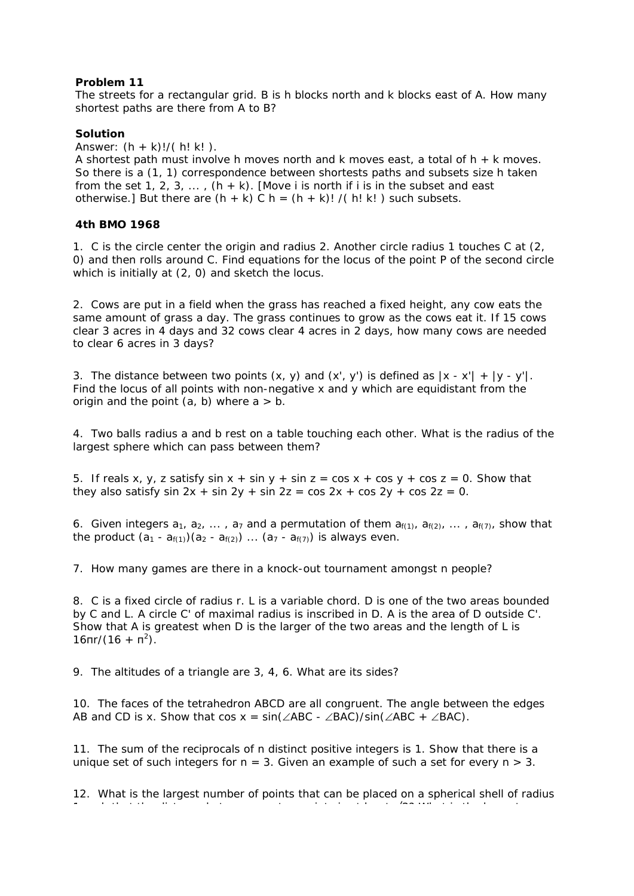The streets for a rectangular grid. B is h blocks north and k blocks east of A. How many shortest paths are there from A to B?

# **Solution**

Answer:  $(h + k)!/(h! k!)$ .

A shortest path must involve h moves north and k moves east, a total of h + k moves. So there is a (1, 1) correspondence between shortests paths and subsets size h taken from the set 1, 2, 3,  $\dots$ , (h + k). [Move i is north if i is in the subset and east otherwise.] But there are  $(h + k)$  C h =  $(h + k)!$  /( h! k!) such subsets.

# **4th BMO 1968**

1. C is the circle center the origin and radius 2. Another circle radius 1 touches C at (2, 0) and then rolls around C. Find equations for the locus of the point P of the second circle which is initially at (2, 0) and sketch the locus.

2. Cows are put in a field when the grass has reached a fixed height, any cow eats the same amount of grass a day. The grass continues to grow as the cows eat it. If 15 cows clear 3 acres in 4 days and 32 cows clear 4 acres in 2 days, how many cows are needed to clear 6 acres in 3 days?

3. The distance between two points  $(x, y)$  and  $(x', y')$  is defined as  $|x - x'| + |y - y'|$ . Find the locus of all points with non-negative x and y which are equidistant from the origin and the point  $(a, b)$  where  $a > b$ .

4. Two balls radius a and b rest on a table touching each other. What is the radius of the largest sphere which can pass between them?

5. If reals x, y, z satisfy sin  $x + \sin y + \sin z = \cos x + \cos y + \cos z = 0$ . Show that they also satisfy sin  $2x + \sin 2y + \sin 2z = \cos 2x + \cos 2y + \cos 2z = 0$ .

6. Given integers  $a_1, a_2, \ldots, a_7$  and a permutation of them  $a_{f(1)}, a_{f(2)}, \ldots, a_{f(7)},$  show that the product  $(a_1 - a_{f(1)})(a_2 - a_{f(2)})$  ...  $(a_7 - a_{f(7)})$  is always even.

7. How many games are there in a knock-out tournament amongst n people?

8. C is a fixed circle of radius r. L is a variable chord. D is one of the two areas bounded by C and L. A circle C' of maximal radius is inscribed in D. A is the area of D outside C'. Show that A is greatest when D is the larger of the two areas and the length of L is  $16\pi r/(16 + \pi^2)$ .

9. The altitudes of a triangle are 3, 4, 6. What are its sides?

10. The faces of the tetrahedron ABCD are all congruent. The angle between the edges AB and CD is x. Show that cos  $x = \sin(\angle ABC - \angle BAC)/\sin(\angle ABC + \angle BAC)$ .

11. The sum of the reciprocals of n distinct positive integers is 1. Show that there is a unique set of such integers for  $n = 3$ . Given an example of such a set for every  $n > 3$ .

12. What is the largest number of points that can be placed on a spherical shell of radius 1 h th t th di t b t t i t i t l t √2? Wh t i th l t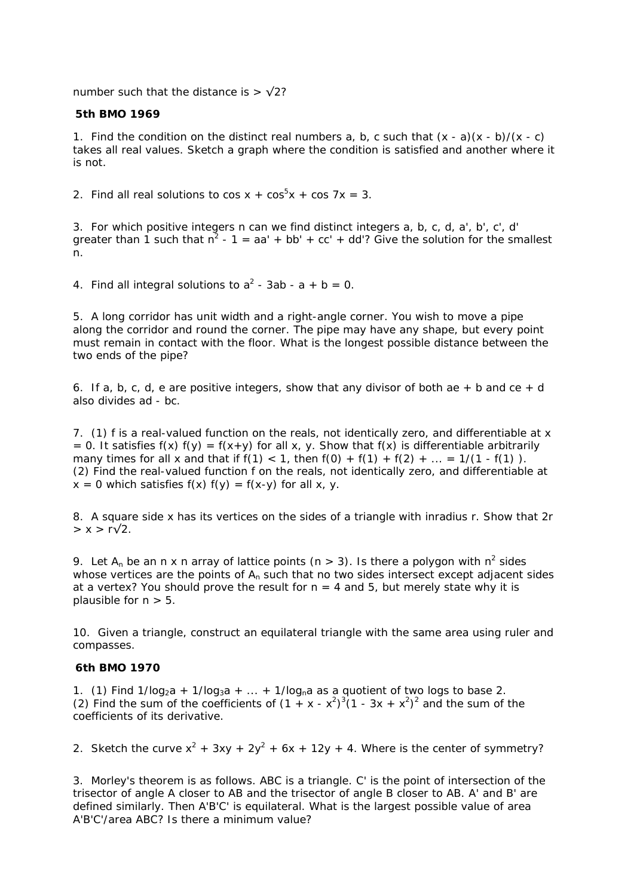number such that the distance is  $>$   $\sqrt{2}$ ?

### **5th BMO 1969**

1. Find the condition on the distinct real numbers a, b, c such that  $(x - a)(x - b)/(x - c)$ takes all real values. Sketch a graph where the condition is satisfied and another where it is not.

2. Find all real solutions to  $cos x + cos^5 x + cos 7x = 3$ .

3. For which positive integers n can we find distinct integers a, b, c, d, a', b', c', d' greater than 1 such that  $n^2 - 1 = aa' + bb' + cc' + dd'$ ? Give the solution for the smallest n.

4. Find all integral solutions to  $a^2 - 3ab - a + b = 0$ .

5. A long corridor has unit width and a right-angle corner. You wish to move a pipe along the corridor and round the corner. The pipe may have any shape, but every point must remain in contact with the floor. What is the longest possible distance between the two ends of the pipe?

6. If a, b, c, d, e are positive integers, show that any divisor of both ae  $+$  b and ce  $+$  d also divides ad - bc.

7. (1) f is a real-valued function on the reals, not identically zero, and differentiable at x = 0. It satisfies  $f(x) f(y) = f(x+y)$  for all x, y. Show that  $f(x)$  is differentiable arbitrarily many times for all x and that if  $f(1) < 1$ , then  $f(0) + f(1) + f(2) + ... = 1/(1 - f(1))$ . (2) Find the real-valued function f on the reals, not identically zero, and differentiable at  $x = 0$  which satisfies  $f(x) f(y) = f(x-y)$  for all x, y.

8. A square side x has its vertices on the sides of a triangle with inradius r. Show that 2r  $> x > r\sqrt{2}$ .

9. Let  $A_n$  be an n x n array of lattice points (n > 3). Is there a polygon with  $n^2$  sides whose vertices are the points of  $A_n$  such that no two sides intersect except adjacent sides at a vertex? You should prove the result for  $n = 4$  and 5, but merely state why it is plausible for  $n > 5$ .

10. Given a triangle, construct an equilateral triangle with the same area using ruler and compasses.

## **6th BMO 1970**

1. (1) Find  $1/log<sub>2</sub>a + 1/log<sub>3</sub>a + ... + 1/log<sub>n</sub>a$  as a quotient of two logs to base 2. (2) Find the sum of the coefficients of  $(1 + x - x^2)^3 (1 - 3x + x^2)^2$  and the sum of the coefficients of its derivative.

2. Sketch the curve  $x^2 + 3xy + 2y^2 + 6x + 12y + 4$ . Where is the center of symmetry?

3. Morley's theorem is as follows. ABC is a triangle. C' is the point of intersection of the trisector of angle A closer to AB and the trisector of angle B closer to AB. A' and B' are defined similarly. Then A'B'C' is equilateral. What is the largest possible value of area A'B'C'/area ABC? Is there a minimum value?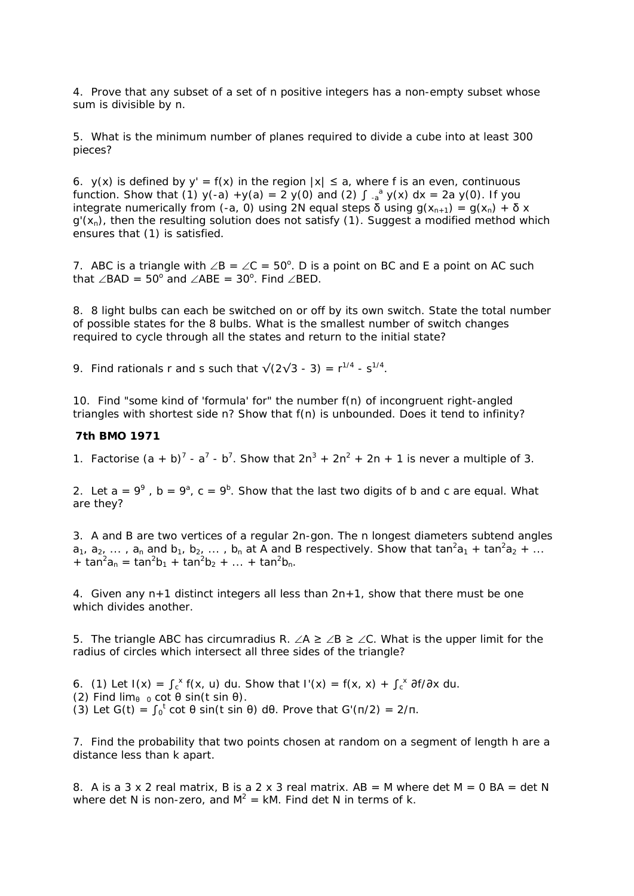4. Prove that any subset of a set of n positive integers has a non-empty subset whose sum is divisible by n.

5. What is the minimum number of planes required to divide a cube into at least 300 pieces?

6. y(x) is defined by y' = f(x) in the region  $|x| \le a$ , where f is an even, continuous function. Show that (1)  $y(-a) + y(a) = 2y(0)$  and (2)  $\int_{-a}^{a} y(x) dx = 2a y(0)$ . If you integrate numerically from (-a, 0) using 2N equal steps δ using  $g(x_{n+1}) = g(x_n) + \delta x$  $g'(x_n)$ , then the resulting solution does not satisfy (1). Suggest a modified method which ensures that (1) is satisfied.

7. ABC is a triangle with  $\angle B = \angle C = 50^\circ$ . D is a point on BC and E a point on AC such that ∠BAD =  $50^{\circ}$  and ∠ABE =  $30^{\circ}$ . Find ∠BED.

8. 8 light bulbs can each be switched on or off by its own switch. State the total number of possible states for the 8 bulbs. What is the smallest number of switch changes required to cycle through all the states and return to the initial state?

9. Find rationals r and s such that  $\sqrt{(2\sqrt{3} - 3)} = r^{1/4} - s^{1/4}$ .

10. Find "some kind of 'formula' for" the number f(n) of incongruent right-angled triangles with shortest side n? Show that f(n) is unbounded. Does it tend to infinity?

### **7th BMO 1971**

1. Factorise  $(a + b)^7 - a^7 - b^7$ . Show that  $2n^3 + 2n^2 + 2n + 1$  is never a multiple of 3.

2. Let  $a = 9^9$ ,  $b = 9^a$ ,  $c = 9^b$ . Show that the last two digits of b and c are equal. What are they?

3. A and B are two vertices of a regular 2n-gon. The n longest diameters subtend angles  $a_1, a_2, \ldots$  ,  $a_n$  and  $b_1, b_2, \ldots$  ,  $b_n$  at A and B respectively. Show that tan<sup>2</sup> $a_1$  + tan<sup>2</sup> $a_2$  + ... +  $\tan^2 a_n = \tan^2 b_1 + \tan^2 b_2 + \dots + \tan^2 b_n$ .

4. Given any  $n+1$  distinct integers all less than  $2n+1$ , show that there must be one which divides another.

5. The triangle ABC has circumradius R.  $\angle A \geq \angle B \geq \angle C$ . What is the upper limit for the radius of circles which intersect all three sides of the triangle?

6. (1) Let  $I(x) = \int_{c}^{x} f(x, u) du$ . Show that  $I'(x) = f(x, x) + \int_{c}^{x} \frac{\partial f}{\partial x} du$ . (2) Find  $\lim_{\theta \to 0} \cot \theta \sin(t \sin \theta)$ . (3) Let  $G(t) = \int_0^t \cot \theta \sin(t \sin \theta) d\theta$ . Prove that  $G'(\pi/2) = 2/\pi$ .

7. Find the probability that two points chosen at random on a segment of length h are a distance less than k apart.

8. A is a 3 x 2 real matrix, B is a 2 x 3 real matrix,  $AB = M$  where det  $M = 0$  BA = det N where det N is non-zero, and  $M^2 = kM$ . Find det N in terms of k.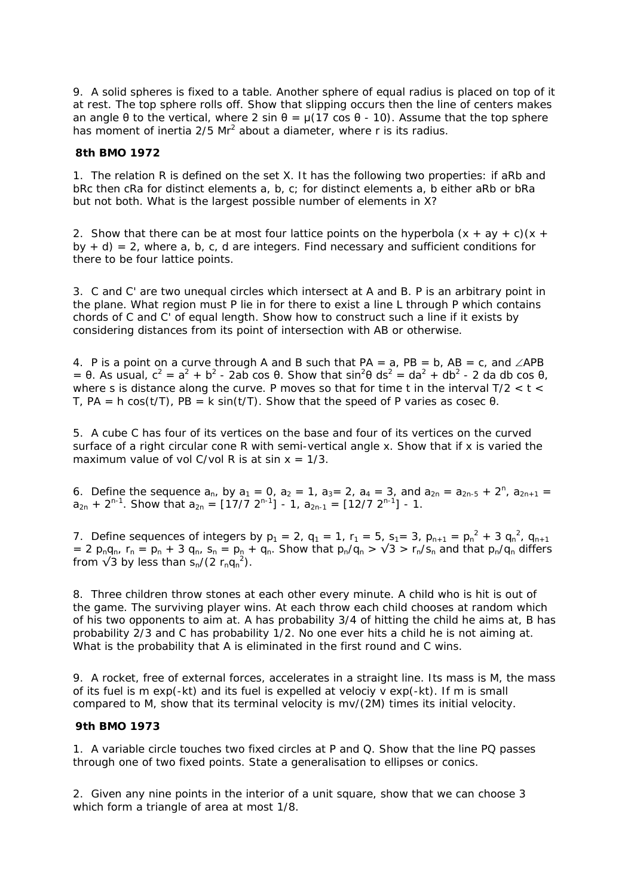9. A solid spheres is fixed to a table. Another sphere of equal radius is placed on top of it at rest. The top sphere rolls off. Show that slipping occurs then the line of centers makes an angle θ to the vertical, where 2 sin  $θ = μ(17 \cos θ - 10)$ . Assume that the top sphere has moment of inertia  $2/5$  Mr<sup>2</sup> about a diameter, where r is its radius.

### **8th BMO 1972**

1. The relation R is defined on the set X. It has the following two properties: if aRb and bRc then cRa for distinct elements a, b, c; for distinct elements a, b either aRb or bRa but not both. What is the largest possible number of elements in X?

2. Show that there can be at most four lattice points on the hyperbola  $(x + ay + c)(x + b)$ by  $+ d$ ) = 2, where a, b, c, d are integers. Find necessary and sufficient conditions for there to be four lattice points.

3. C and C' are two unequal circles which intersect at A and B. P is an arbitrary point in the plane. What region must P lie in for there to exist a line L through P which contains chords of C and C' of equal length. Show how to construct such a line if it exists by considering distances from its point of intersection with AB or otherwise.

4. P is a point on a curve through A and B such that PA = a, PB = b, AB = c, and  $\angle$ APB = θ. As usual,  $c^2 = a^2 + b^2$  - 2ab cos θ. Show that  $\sin^2\theta$  ds<sup>2</sup> = da<sup>2</sup> + db<sup>2</sup> - 2 da db cos θ, where s is distance along the curve. P moves so that for time t in the interval T/2  $<$  t  $<$ T,  $PA = h \cos(t/T)$ ,  $PB = k \sin(t/T)$ . Show that the speed of P varies as cosec  $\theta$ .

5. A cube C has four of its vertices on the base and four of its vertices on the curved surface of a right circular cone R with semi-vertical angle x. Show that if x is varied the maximum value of vol C/vol R is at sin  $x = 1/3$ .

6. Define the sequence  $a_n$ , by  $a_1 = 0$ ,  $a_2 = 1$ ,  $a_3 = 2$ ,  $a_4 = 3$ , and  $a_{2n} = a_{2n-5} + 2^n$ ,  $a_{2n+1} = 1$  $a_{2n}$  + 2<sup>n-1</sup>. Show that  $a_{2n} = \lfloor 17/7 \ 2^{n-1} \rfloor - 1$ ,  $a_{2n-1} = \lfloor 12/7 \ 2^{n-1} \rfloor - 1$ .

7. Define sequences of integers by  $p_1 = 2$ ,  $q_1 = 1$ ,  $r_1 = 5$ ,  $s_1 = 3$ ,  $p_{n+1} = p_n^2 + 3 q_n^2$ ,  $q_{n+1}$ = 2  $p_nq_n$ ,  $r_n = p_n + 3 q_n$ ,  $s_n = p_n + q_n$ . Show that  $p_n/q_n > \sqrt{3} > r_n/s_n$  and that  $p_n/q_n$  differs from  $\sqrt{3}$  by less than  $s_n/(2 r_n q_n^2)$ .

8. Three children throw stones at each other every minute. A child who is hit is out of the game. The surviving player wins. At each throw each child chooses at random which of his two opponents to aim at. A has probability 3/4 of hitting the child he aims at, B has probability 2/3 and C has probability 1/2. No one ever hits a child he is not aiming at. What is the probability that A is eliminated in the first round and C wins.

9. A rocket, free of external forces, accelerates in a straight line. Its mass is M, the mass of its fuel is m exp(-kt) and its fuel is expelled at velociy v exp(-kt). If m is small compared to M, show that its terminal velocity is mv/(2M) times its initial velocity.

### **9th BMO 1973**

1. A variable circle touches two fixed circles at P and Q. Show that the line PQ passes through one of two fixed points. State a generalisation to ellipses or conics.

2. Given any nine points in the interior of a unit square, show that we can choose 3 which form a triangle of area at most 1/8.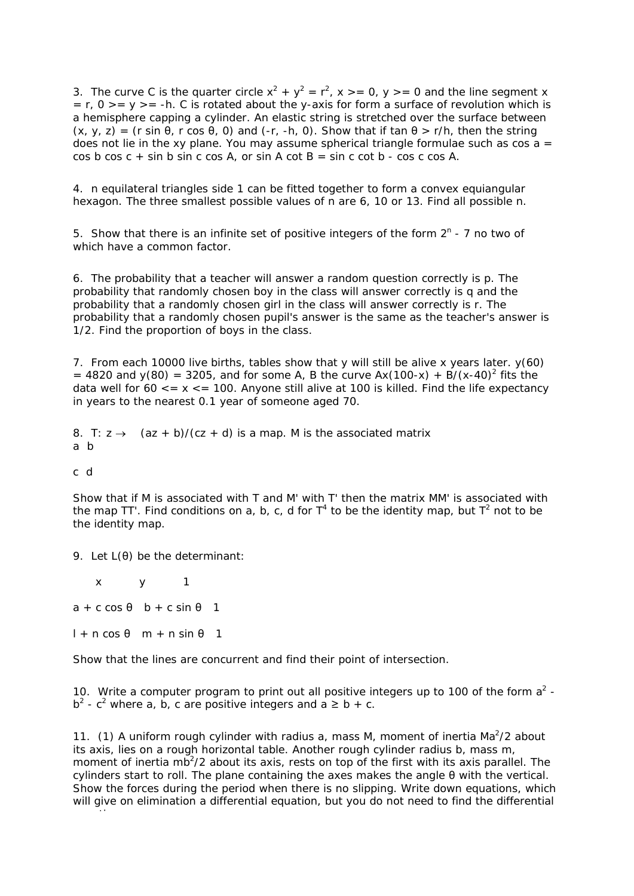3. The curve C is the quarter circle  $x^2 + y^2 = r^2$ ,  $x \ge 0$ ,  $y \ge 0$  and the line segment x  $= r, 0 \geq v \geq -h$ . C is rotated about the y-axis for form a surface of revolution which is a hemisphere capping a cylinder. An elastic string is stretched over the surface between  $(x, y, z) = (r \sin \theta, r \cos \theta, 0)$  and  $(-r, -h, 0)$ . Show that if tan  $\theta > r/h$ , then the string does not lie in the xy plane. You may assume spherical triangle formulae such as  $cos a =$  $\cos b \cos c + \sin b \sin c \cos A$ , or  $\sin A \cot B = \sin c \cot b - \cos c \cos A$ .

4. n equilateral triangles side 1 can be fitted together to form a convex equiangular hexagon. The three smallest possible values of n are 6, 10 or 13. Find all possible n.

5. Show that there is an infinite set of positive integers of the form  $2^n$  - 7 no two of which have a common factor.

6. The probability that a teacher will answer a random question correctly is p. The probability that randomly chosen boy in the class will answer correctly is q and the probability that a randomly chosen girl in the class will answer correctly is r. The probability that a randomly chosen pupil's answer is the same as the teacher's answer is 1/2. Find the proportion of boys in the class.

7. From each 10000 live births, tables show that y will still be alive x years later. y(60) = 4820 and  $y(80)$  = 3205, and for some A, B the curve  $Ax(100-x) + B/(x-40)^2$  fits the data well for  $60 \le x \le 100$ . Anyone still alive at 100 is killed. Find the life expectancy in years to the nearest 0.1 year of someone aged 70.

8. T:  $z \rightarrow$   $(az + b)/(cz + d)$  is a map. M is the associated matrix a b

### c d

Show that if M is associated with T and M' with T' then the matrix MM' is associated with the map TT'. Find conditions on a, b, c, d for  $T^4$  to be the identity map, but  $T^2$  not to be the identity map.

9. Let L(θ) be the determinant:

 x y 1  $a + c \cos \theta$  b + c sin  $\theta$  1  $l + n \cos \theta$  m + n sin  $\theta$  1

ti

Show that the lines are concurrent and find their point of intersection.

10. Write a computer program to print out all positive integers up to 100 of the form  $a^2$   $b^2$  - c<sup>2</sup> where a, b, c are positive integers and a  $\geq b + c$ .

11. (1) A uniform rough cylinder with radius a, mass M, moment of inertia  $Ma^2/2$  about its axis, lies on a rough horizontal table. Another rough cylinder radius b, mass m, moment of inertia mb<sup>2</sup>/2 about its axis, rests on top of the first with its axis parallel. The cylinders start to roll. The plane containing the axes makes the angle θ with the vertical. Show the forces during the period when there is no slipping. Write down equations, which will give on elimination a differential equation, but you do not need to find the differential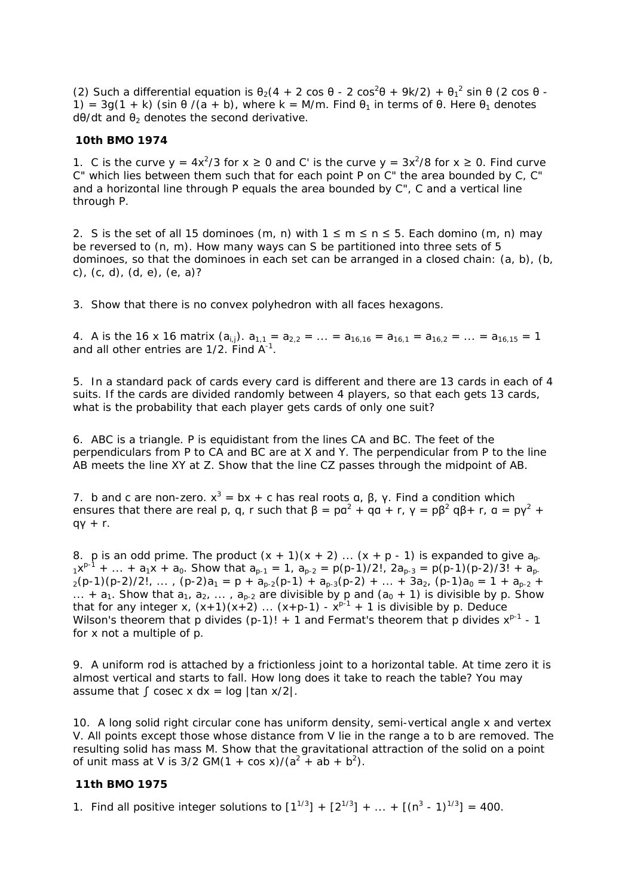(2) Such a differential equation is  $\theta_2(4 + 2 \cos \theta - 2 \cos^2 \theta + 9k/2) + \theta_1^2 \sin \theta$  (2 cos  $\theta$  -1) =  $3q(1 + k)$  (sin  $\theta$  /(a + b), where k = M/m. Find  $\theta_1$  in terms of  $\theta$ . Here  $\theta_1$  denotes  $d\theta/dt$  and  $\theta_2$  denotes the second derivative.

### **10th BMO 1974**

1. C is the curve  $y = 4x^2/3$  for  $x \ge 0$  and C' is the curve  $y = 3x^2/8$  for  $x \ge 0$ . Find curve C" which lies between them such that for each point P on C" the area bounded by C, C" and a horizontal line through P equals the area bounded by C", C and a vertical line through P.

2. S is the set of all 15 dominoes (m, n) with  $1 \le m \le n \le 5$ . Each domino (m, n) may be reversed to (n, m). How many ways can S be partitioned into three sets of 5 dominoes, so that the dominoes in each set can be arranged in a closed chain: (a, b), (b, c), (c, d), (d, e), (e, a)?

3. Show that there is no convex polyhedron with all faces hexagons.

4. A is the 16 x 16 matrix  $(a_{i,j})$ .  $a_{1,1} = a_{2,2} = ... = a_{16,16} = a_{16,1} = a_{16,2} = ... = a_{16,15} = 1$ and all other entries are  $1/2$ . Find  $A^{-1}$ .

5. In a standard pack of cards every card is different and there are 13 cards in each of 4 suits. If the cards are divided randomly between 4 players, so that each gets 13 cards, what is the probability that each player gets cards of only one suit?

6. ABC is a triangle. P is equidistant from the lines CA and BC. The feet of the perpendiculars from P to CA and BC are at X and Y. The perpendicular from P to the line AB meets the line XY at Z. Show that the line CZ passes through the midpoint of AB.

7. b and c are non-zero.  $x^3 = bx + c$  has real roots  $\alpha$ ,  $\beta$ ,  $\gamma$ . Find a condition which ensures that there are real p, q, r such that  $\beta = \rho a^2 + q a + r$ ,  $\gamma = \rho \beta^2 q \beta + r$ ,  $a = \rho \gamma^2 + r$ qγ + r.

8. p is an odd prime. The product  $(x + 1)(x + 2)$  ...  $(x + p - 1)$  is expanded to give  $a_{p}$ .  $1x^{p-1}$  + ... +  $a_1x$  +  $a_0$ . Show that  $a_{p-1} = 1$ ,  $a_{p-2} = p(p-1)/2!$ ,  $2a_{p-3} = p(p-1)(p-2)/3!$  +  $a_{p-1}$  $2(p-1)(p-2)/2!$ , ...,  $(p-2)a_1 = p + a_{p-2}(p-1) + a_{p-3}(p-2) + ... + 3a_2$ ,  $(p-1)a_0 = 1 + a_{p-2}$ ... +  $a_1$ . Show that  $a_1$ ,  $a_2$ , ...,  $a_{p-2}$  are divisible by p and  $(a_0 + 1)$  is divisible by p. Show that for any integer x,  $(x+1)(x+2)$  ...  $(x+p-1) - x^{p-1} + 1$  is divisible by p. Deduce Wilson's theorem that p divides  $(p-1)!$  + 1 and Fermat's theorem that p divides  $x^{p-1}$  - 1 for x not a multiple of p.

9. A uniform rod is attached by a frictionless joint to a horizontal table. At time zero it is almost vertical and starts to fall. How long does it take to reach the table? You may assume that  $\int$  cosec x dx = log |tan x/2|.

10. A long solid right circular cone has uniform density, semi-vertical angle x and vertex V. All points except those whose distance from V lie in the range a to b are removed. The resulting solid has mass M. Show that the gravitational attraction of the solid on a point of unit mass at V is  $3/2$  GM(1 + cos x)/( $a^2 + ab + b^2$ ).

## **11th BMO 1975**

1. Find all positive integer solutions to  $[1^{1/3}] + [2^{1/3}] + ... + [(n^3 - 1)^{1/3}] = 400$ .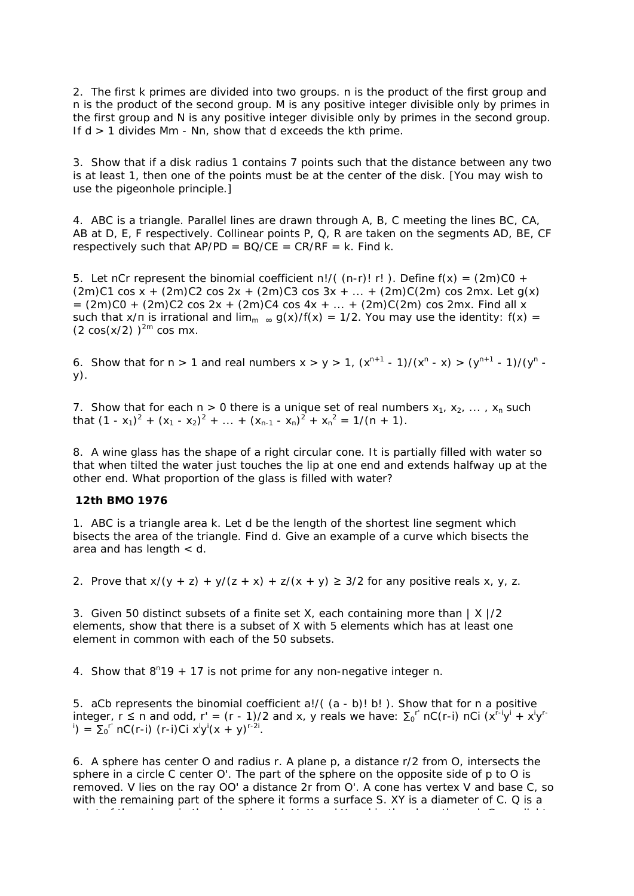2. The first k primes are divided into two groups. n is the product of the first group and n is the product of the second group. M is any positive integer divisible only by primes in the first group and N is any positive integer divisible only by primes in the second group. If  $d > 1$  divides Mm - Nn, show that d exceeds the kth prime.

3. Show that if a disk radius 1 contains 7 points such that the distance between any two is at least 1, then one of the points must be at the center of the disk. [You may wish to use the pigeonhole principle.]

4. ABC is a triangle. Parallel lines are drawn through A, B, C meeting the lines BC, CA, AB at D, E, F respectively. Collinear points P, Q, R are taken on the segments AD, BE, CF respectively such that  $AP/PD = BO/CE = CR/RF = k$ . Find k.

5. Let nCr represent the binomial coefficient n!/( $(n-r)!$  r!). Define  $f(x) = (2m)C0 +$  $(2m)C1 \cos x + (2m)C2 \cos 2x + (2m)C3 \cos 3x + ... + (2m)C(2m) \cos 2mx$ . Let g(x)  $= (2m)CO + (2m)C2 \cos 2x + (2m)C4 \cos 4x + ... + (2m)C(2m) \cos 2mx$ . Find all x such that  $x/\pi$  is irrational and  $\lim_{m \to \infty} g(x)/f(x) = 1/2$ . You may use the identity:  $f(x) =$  $(2 \cos(x/2))^{2m} \cos mx$ .

6. Show that for  $n > 1$  and real numbers  $x > y > 1$ ,  $(x^{n+1} - 1)/(x^n - x) > (y^{n+1} - 1)/(y^n - x)$ y).

7. Show that for each  $n > 0$  there is a unique set of real numbers  $x_1, x_2, \ldots, x_n$  such that  $(1 - x_1)^2 + (x_1 - x_2)^2 + \dots + (x_{n-1} - x_n)^2 + x_n^2 = 1/(n + 1)$ .

8. A wine glass has the shape of a right circular cone. It is partially filled with water so that when tilted the water just touches the lip at one end and extends halfway up at the other end. What proportion of the glass is filled with water?

### **12th BMO 1976**

1. ABC is a triangle area k. Let d be the length of the shortest line segment which bisects the area of the triangle. Find d. Give an example of a curve which bisects the area and has length < d.

2. Prove that  $x/(y + z) + y/(z + x) + z/(x + y) \ge 3/2$  for any positive reals x, y, z.

3. Given 50 distinct subsets of a finite set X, each containing more than  $|X|/2$ elements, show that there is a subset of X with 5 elements which has at least one element in common with each of the 50 subsets.

4. Show that  $8^n19 + 17$  is not prime for any non-negative integer n.

5. aCb represents the binomial coefficient a!/( (a - b)! b! ). Show that for n a positive integer, r  $\leq$  n and odd, r' = (r - 1)/2 and x, y reals we have:  $\Sigma_0$ <sup>r'</sup> nC(r-i) nCi (x<sup>r-i</sup>y<sup>i</sup> + x<sup>i</sup>y<sup>r-</sup> <sup>i</sup>) =  $\Sigma_0^{r'}$  nC(r-i) (r-i)Ci  $x^i y^i (x + y)^{r-2i}$ .

6. A sphere has center O and radius r. A plane p, a distance r/2 from O, intersects the sphere in a circle C center O'. The part of the sphere on the opposite side of p to O is removed. V lies on the ray OO' a distance 2r from O'. A cone has vertex V and base C, so with the remaining part of the sphere it forms a surface S. XY is a diameter of C. Q is a

i t f th h i th l th h V X d Y d i th l th h O ll l t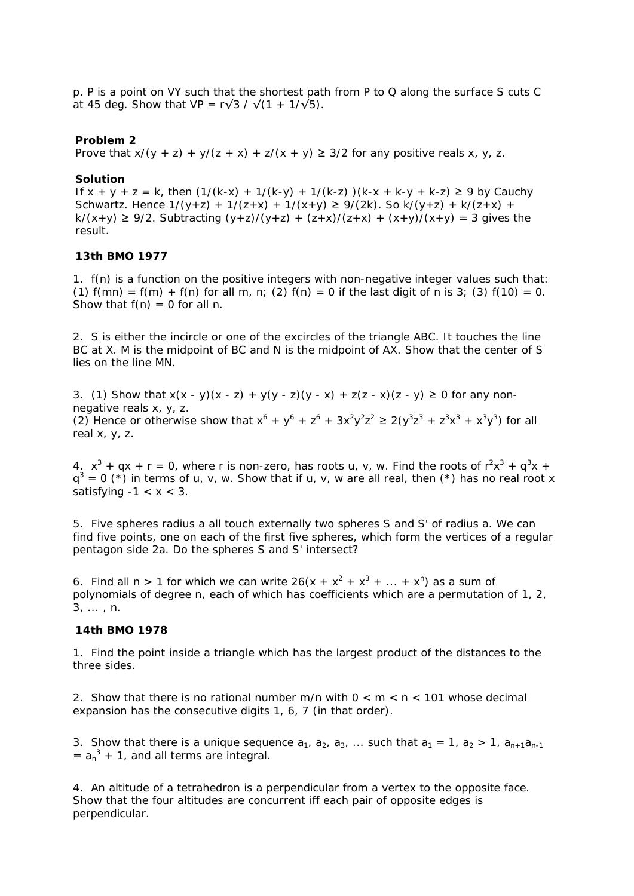p. P is a point on VY such that the shortest path from P to Q along the surface S cuts C at 45 deg. Show that VP =  $r\sqrt{3} / \sqrt{1 + 1/\sqrt{5}}$ .

### **Problem 2**

Prove that  $x/(y + z) + y/(z + x) + z/(x + y) \ge 3/2$  for any positive reals x, y, z.

#### **Solution**

If  $x + y + z = k$ , then  $(1/(k-x) + 1/(k-y) + 1/(k-z))$   $(k-x + k-y + k-z) \ge 9$  by Cauchy Schwartz. Hence  $1/(y+z) + 1/(z+x) + 1/(x+y) \ge 9/(2k)$ . So  $k/(y+z) + k/(z+x) +$  $k/(x+y) \ge 9/2$ . Subtracting  $(y+z)/(y+z) + (z+x)/(z+x) + (x+y)/(x+y) = 3$  gives the result.

### **13th BMO 1977**

1. f(n) is a function on the positive integers with non-negative integer values such that: (1)  $f(mn) = f(m) + f(n)$  for all m, n; (2)  $f(n) = 0$  if the last digit of n is 3; (3)  $f(10) = 0$ . Show that  $f(n) = 0$  for all n.

2. S is either the incircle or one of the excircles of the triangle ABC. It touches the line BC at X. M is the midpoint of BC and N is the midpoint of AX. Show that the center of S lies on the line MN.

3. (1) Show that  $x(x - y)(x - z) + y(y - z)(y - x) + z(z - x)(z - y) \ge 0$  for any nonnegative reals x, y, z. (2) Hence or otherwise show that  $x^6 + y^6 + z^6 + 3x^2y^2z^2 \ge 2(y^3z^3 + z^3x^3 + x^3y^3)$  for all real x, y, z.

4.  $x^3 + qx + r = 0$ , where r is non-zero, has roots u, v, w. Find the roots of  $r^2x^3 + q^3x +$  $q^3$  = 0 (\*) in terms of u, v, w. Show that if u, v, w are all real, then (\*) has no real root x satisfying  $-1 < x < 3$ .

5. Five spheres radius a all touch externally two spheres S and S' of radius a. We can find five points, one on each of the first five spheres, which form the vertices of a regular pentagon side 2a. Do the spheres S and S' intersect?

6. Find all n > 1 for which we can write  $26(x + x^2 + x^3 + ... + x^n)$  as a sum of polynomials of degree n, each of which has coefficients which are a permutation of 1, 2, 3, ... , n.

### **14th BMO 1978**

1. Find the point inside a triangle which has the largest product of the distances to the three sides.

2. Show that there is no rational number m/n with  $0 < m < n < 101$  whose decimal expansion has the consecutive digits 1, 6, 7 (in that order).

3. Show that there is a unique sequence  $a_1$ ,  $a_2$ ,  $a_3$ , ... such that  $a_1 = 1$ ,  $a_2 > 1$ ,  $a_{n+1}a_{n-1}$  $= a_n^3 + 1$ , and all terms are integral.

4. An altitude of a tetrahedron is a perpendicular from a vertex to the opposite face. Show that the four altitudes are concurrent iff each pair of opposite edges is perpendicular.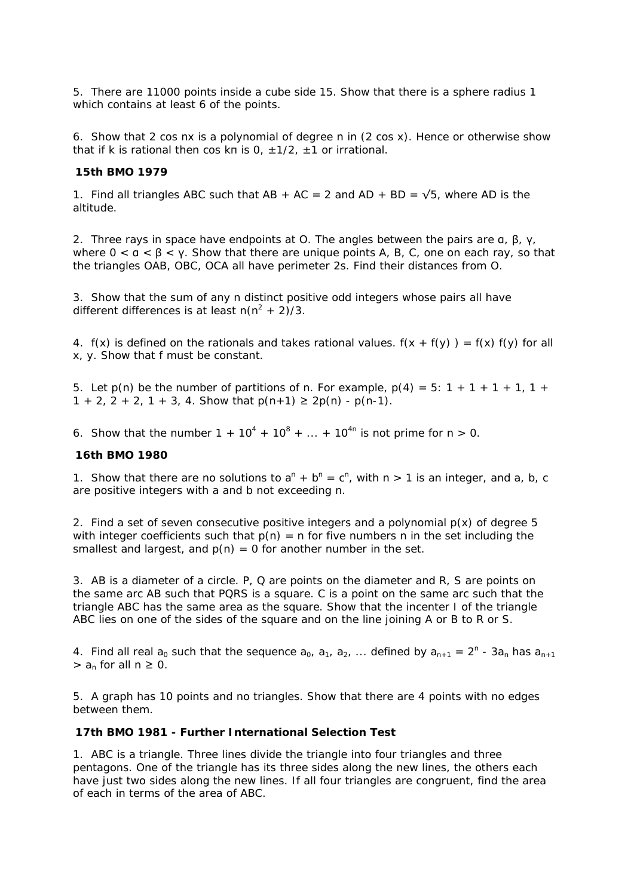5. There are 11000 points inside a cube side 15. Show that there is a sphere radius 1 which contains at least 6 of the points.

6. Show that 2 cos nx is a polynomial of degree n in (2 cos x). Hence or otherwise show that if k is rational then cos kn is  $0, +1/2, +1$  or irrational.

#### **15th BMO 1979**

1. Find all triangles ABC such that AB + AC = 2 and AD + BD =  $\sqrt{5}$ , where AD is the altitude.

2. Three rays in space have endpoints at O. The angles between the pairs are α, β, γ, where  $0 < a < \beta < y$ . Show that there are unique points A, B, C, one on each ray, so that the triangles OAB, OBC, OCA all have perimeter 2s. Find their distances from O.

3. Show that the sum of any n distinct positive odd integers whose pairs all have different differences is at least  $n(n^2 + 2)/3$ .

4.  $f(x)$  is defined on the rationals and takes rational values.  $f(x + f(y)) = f(x) f(y)$  for all x, y. Show that f must be constant.

5. Let  $p(n)$  be the number of partitions of n. For example,  $p(4) = 5$ : 1 + 1 + 1 + 1, 1 +  $1 + 2$ ,  $2 + 2$ ,  $1 + 3$ , 4. Show that  $p(n+1) \ge 2p(n) - p(n-1)$ .

6. Show that the number  $1 + 10^4 + 10^8 + ... + 10^{4n}$  is not prime for  $n > 0$ .

### **16th BMO 1980**

1. Show that there are no solutions to  $a^n + b^n = c^n$ , with  $n > 1$  is an integer, and a, b, c are positive integers with a and b not exceeding n.

2. Find a set of seven consecutive positive integers and a polynomial  $p(x)$  of degree 5 with integer coefficients such that  $p(n) = n$  for five numbers n in the set including the smallest and largest, and  $p(n) = 0$  for another number in the set.

3. AB is a diameter of a circle. P, Q are points on the diameter and R, S are points on the same arc AB such that PQRS is a square. C is a point on the same arc such that the triangle ABC has the same area as the square. Show that the incenter I of the triangle ABC lies on one of the sides of the square and on the line joining A or B to R or S.

4. Find all real  $a_0$  such that the sequence  $a_0$ ,  $a_1$ ,  $a_2$ , ... defined by  $a_{n+1} = 2^n - 3a_n$  has  $a_{n+1}$  $>$  a<sub>n</sub> for all  $n \ge 0$ .

5. A graph has 10 points and no triangles. Show that there are 4 points with no edges between them.

# **17th BMO 1981 - Further International Selection Test**

1. ABC is a triangle. Three lines divide the triangle into four triangles and three pentagons. One of the triangle has its three sides along the new lines, the others each have just two sides along the new lines. If all four triangles are congruent, find the area of each in terms of the area of ABC.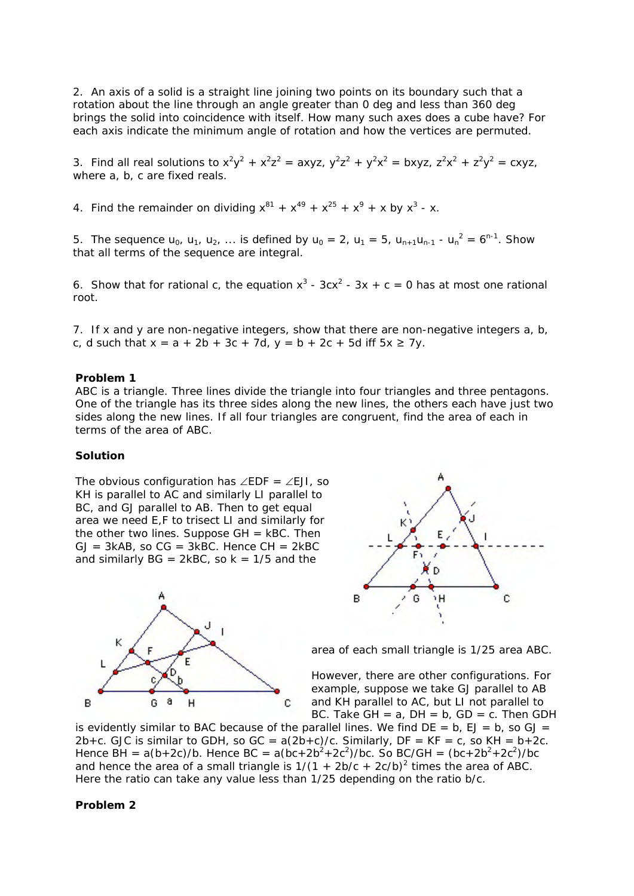2. An axis of a solid is a straight line joining two points on its boundary such that a rotation about the line through an angle greater than 0 deg and less than 360 deg brings the solid into coincidence with itself. How many such axes does a cube have? For each axis indicate the minimum angle of rotation and how the vertices are permuted.

3. Find all real solutions to  $x^2y^2 + x^2z^2 = axyz$ ,  $y^2z^2 + y^2x^2 = bxyz$ ,  $z^2x^2 + z^2y^2 = cxyz$ , where a, b, c are fixed reals.

4. Find the remainder on dividing  $x^{81} + x^{49} + x^{25} + x^{9} + x$  by  $x^{3} - x$ .

5. The sequence  $u_0$ ,  $u_1$ ,  $u_2$ , ... is defined by  $u_0 = 2$ ,  $u_1 = 5$ ,  $u_{n+1}u_{n-1} - u_n^2 = 6^{n-1}$ . Show that all terms of the sequence are integral.

6. Show that for rational c, the equation  $x^3$  - 3cx<sup>2</sup> - 3x + c = 0 has at most one rational root.

7. If x and y are non-negative integers, show that there are non-negative integers a, b, c, d such that  $x = a + 2b + 3c + 7d$ ,  $y = b + 2c + 5d$  iff  $5x \ge 7y$ .

### **Problem 1**

ABC is a triangle. Three lines divide the triangle into four triangles and three pentagons. One of the triangle has its three sides along the new lines, the others each have just two sides along the new lines. If all four triangles are congruent, find the area of each in terms of the area of ABC.

#### **Solution**

The obvious configuration has ∠EDF = ∠EJI, so KH is parallel to AC and similarly LI parallel to BC, and GJ parallel to AB. Then to get equal area we need E,F to trisect LI and similarly for the other two lines. Suppose  $GH = kBC$ . Then  $GJ = 3kAB$ , so  $CG = 3kBC$ . Hence  $CH = 2kBC$ and similarly  $BG = 2kBC$ , so  $k = 1/5$  and the





area of each small triangle is 1/25 area ABC.

However, there are other configurations. For example, suppose we take GJ parallel to AB and KH parallel to AC, but LI not parallel to BC. Take  $GH = a$ ,  $DH = b$ ,  $GD = c$ . Then GDH

is evidently similar to BAC because of the parallel lines. We find  $DE = b$ ,  $EJ = b$ , so  $GJ =$ 2b+c. GJC is similar to GDH, so  $GC = a(2b+c)/c$ . Similarly,  $DF = KF = c$ , so  $KH = b+2c$ . Hence BH =  $a(b+2c)/b$ . Hence BC =  $a(bc+2b^2+2c^2)/bc$ . So BC/GH =  $(bc+2b^2+2c^2)/bc$ and hence the area of a small triangle is  $1/(1 + 2b/c + 2c/b)^2$  times the area of ABC. Here the ratio can take any value less than 1/25 depending on the ratio b/c.

#### **Problem 2**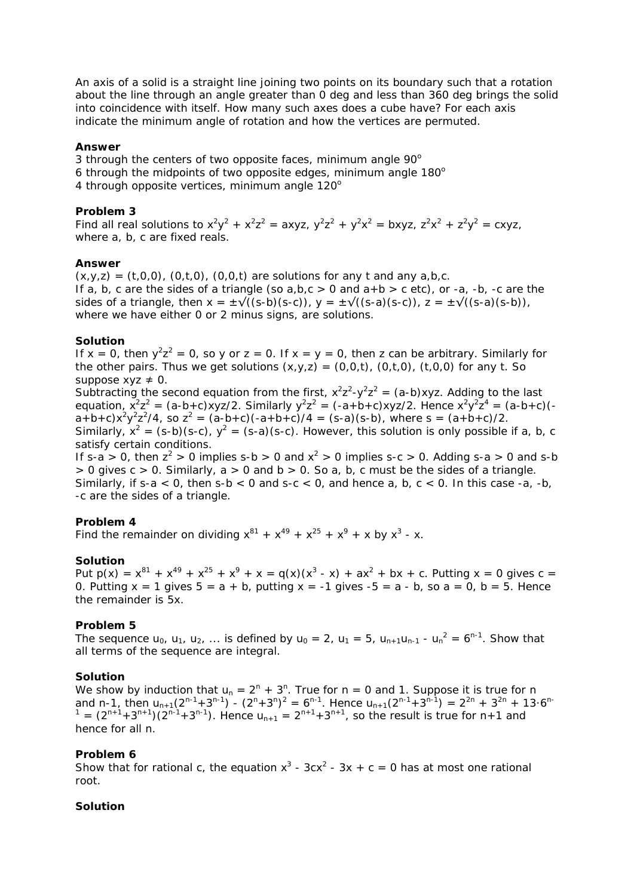An *axis* of a solid is a straight line joining two points on its boundary such that a rotation about the line through an angle greater than 0 deg and less than 360 deg brings the solid into coincidence with itself. How many such axes does a cube have? For each axis indicate the minimum angle of rotation and how the vertices are permuted.

### **Answer**

3 through the centers of two opposite faces, minimum angle  $90^\circ$ 

- 6 through the midpoints of two opposite edges, minimum angle  $180^\circ$
- 4 through opposite vertices, minimum angle  $120^\circ$

## **Problem 3**

Find all real solutions to  $x^2y^2 + x^2z^2 = axyz$ ,  $y^2z^2 + y^2x^2 = bxyz$ ,  $z^2x^2 + z^2y^2 = cxyz$ , where a, b, c are fixed reals.

### **Answer**

 $(x,y,z) = (t,0,0)$ ,  $(0,t,0)$ ,  $(0,0,t)$  are solutions for any t and any a,b,c. If a, b, c are the sides of a triangle (so  $a,b,c > 0$  and  $a+b > c$  etc), or  $-a$ ,  $-b$ ,  $-c$  are the sides of a triangle, then  $x = \pm \sqrt{(s-b)(s-c)}$ ,  $y = \pm \sqrt{(s-a)(s-c)}$ ,  $z = \pm \sqrt{(s-a)(s-b)}$ , where we have either 0 or 2 minus signs, are solutions.

### **Solution**

If  $x = 0$ , then  $y^2z^2 = 0$ , so y or  $z = 0$ . If  $x = y = 0$ , then z can be arbitrary. Similarly for the other pairs. Thus we get solutions  $(x,y,z) = (0,0,t)$ ,  $(0,t,0)$ ,  $(t,0,0)$  for any t. So suppose  $xyz \neq 0$ .

Subtracting the second equation from the first,  $x^2z^2 - y^2z^2 = (a-b)xyz$ . Adding to the last equation,  $x^2z^2 = (a-b+c)xyz/2$ . Similarly  $y^2z^2 = (-a+b+c)xyz/2$ . Hence  $x^2y^2z^4 = (a-b+c)($  $a+b+c$ ) $x^2y^2z^2/4$ , so  $z^2 = (a-b+c)(-a+b+c)/4 = (s-a)(s-b)$ , where  $s = (a+b+c)/2$ . Similarly,  $x^2 = (s-b)(s-c)$ ,  $y^2 = (s-a)(s-c)$ . However, this solution is only possible if a, b, c satisfy certain conditions.

If s-a > 0, then  $z^2$  > 0 implies s-b > 0 and  $x^2$  > 0 implies s-c > 0. Adding s-a > 0 and s-b  $> 0$  gives  $c > 0$ . Similarly,  $a > 0$  and  $b > 0$ . So a, b, c must be the sides of a triangle. Similarly, if s-a < 0, then s-b < 0 and s-c < 0, and hence a, b, c < 0. In this case -a, -b, -c are the sides of a triangle.

## **Problem 4**

Find the remainder on dividing  $x^{81} + x^{49} + x^{25} + x^{9} + x$  by  $x^{3} - x$ .

### **Solution**

Put  $p(x) = x^{81} + x^{49} + x^{25} + x^9 + x = q(x)(x^3 - x) + ax^2 + bx + c$ . Putting  $x = 0$  gives  $c =$ 0. Putting  $x = 1$  gives  $5 = a + b$ , putting  $x = -1$  gives  $-5 = a - b$ , so  $a = 0$ ,  $b = 5$ . Hence the remainder is 5x.

## **Problem 5**

The sequence  $u_0$ ,  $u_1$ ,  $u_2$ , ... is defined by  $u_0 = 2$ ,  $u_1 = 5$ ,  $u_{n+1}u_{n-1}$  -  $u_n^2 = 6^{n-1}$ . Show that all terms of the sequence are integral.

### **Solution**

We show by induction that  $u_n = 2^n + 3^n$ . True for  $n = 0$  and 1. Suppose it is true for n and n-1, then  $u_{n+1}(2^{n-1}+3^{n-1}) - (2^n+3^n)^2 = 6^{n-1}$ . Hence  $u_{n+1}(2^{n-1}+3^{n-1}) = 2^{2n} + 3^{2n} + 13 \cdot 6^{n-1}$  $1 = (2^{n+1} + 3^{n+1})(2^{n-1} + 3^{n-1})$ . Hence  $u_{n+1} = 2^{n+1} + 3^{n+1}$ , so the result is true for n+1 and hence for all n.

## **Problem 6**

Show that for rational c, the equation  $x^3 - 3cx^2 - 3x + c = 0$  has at most one rational root.

### **Solution**